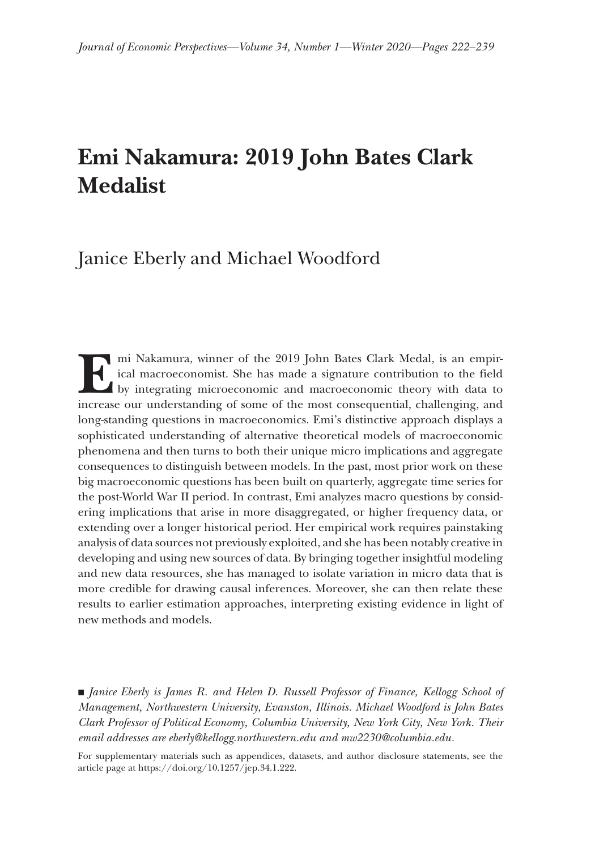# **Emi Nakamura: 2019 John Bates Clark Medalist**

## Janice Eberly and Michael Woodford

**E** mi Nakamura, winner of the 2019 John Bates Clark Medal, is an empirical macroeconomist. She has made a signature contribution to the field by integrating microeconomic and macroeconomic theory with data to increase our understanding of some of the most consequential, challenging, and long-standing questions in macroeconomics. Emi's distinctive approach displays a sophisticated understanding of alternative theoretical models of macroeconomic phenomena and then turns to both their unique micro implications and aggregate consequences to distinguish between models. In the past, most prior work on these big macroeconomic questions has been built on quarterly, aggregate time series for the post-World War II period. In contrast, Emi analyzes macro questions by considering implications that arise in more disaggregated, or higher frequency data, or extending over a longer historical period. Her empirical work requires painstaking analysis of data sources not previously exploited, and she has been notably creative in developing and using new sources of data. By bringing together insightful modeling and new data resources, she has managed to isolate variation in micro data that is more credible for drawing causal inferences. Moreover, she can then relate these results to earlier estimation approaches, interpreting existing evidence in light of new methods and models.

■ *Janice Eberly is James R. and Helen D. Russell Professor of Finance, Kellogg School of Management, Northwestern University, Evanston, Illinois. Michael Woodford is John Bates Clark Professor of Political Economy, Columbia University, New York City, New York. Their email addresses are [eberly@kellogg.northwestern.edu](mailto:eberly@kellogg.northwestern.edu) and [mw2230@columbia.edu](mailto:mw2230@columbia.edu).*

For supplementary materials such as appendices, datasets, and author disclosure statements, see the article page at<https://doi.org/10.1257/jep.34.1.222>.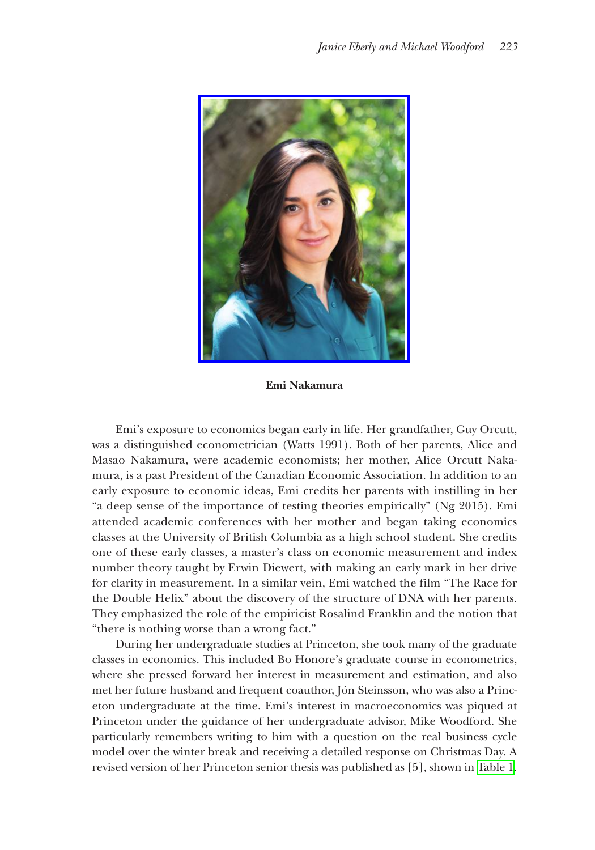

**Emi Nakamura**

Emi's exposure to economics began early in life. Her grandfather, Guy Orcutt, was a distinguished econometrician (Watts 1991). Both of her parents, Alice and Masao Nakamura, were academic economists; her mother, Alice Orcutt Nakamura, is a past President of the Canadian Economic Association. In addition to an early exposure to economic ideas, Emi credits her parents with instilling in her "a deep sense of the importance of testing theories empirically" (Ng 2015). Emi attended academic conferences with her mother and began taking economics classes at the University of British Columbia as a high school student. She credits one of these early classes, a master's class on economic measurement and index number theory taught by Erwin Diewert, with making an early mark in her drive for clarity in measurement. In a similar vein, Emi watched the film "The Race for the Double Helix" about the discovery of the structure of DNA with her parents. They emphasized the role of the empiricist Rosalind Franklin and the notion that "there is nothing worse than a wrong fact."

During her undergraduate studies at Princeton, she took many of the graduate classes in economics. This included Bo Honore's graduate course in econometrics, where she pressed forward her interest in measurement and estimation, and also met her future husband and frequent coauthor, Jón Steinsson, who was also a Princeton undergraduate at the time. Emi's interest in macroeconomics was piqued at Princeton under the guidance of her undergraduate advisor, Mike Woodford. She particularly remembers writing to him with a question on the real business cycle model over the winter break and receiving a detailed response on Christmas Day. A revised version of her Princeton senior thesis was published as [5], shown in [Table 1](#page-2-0).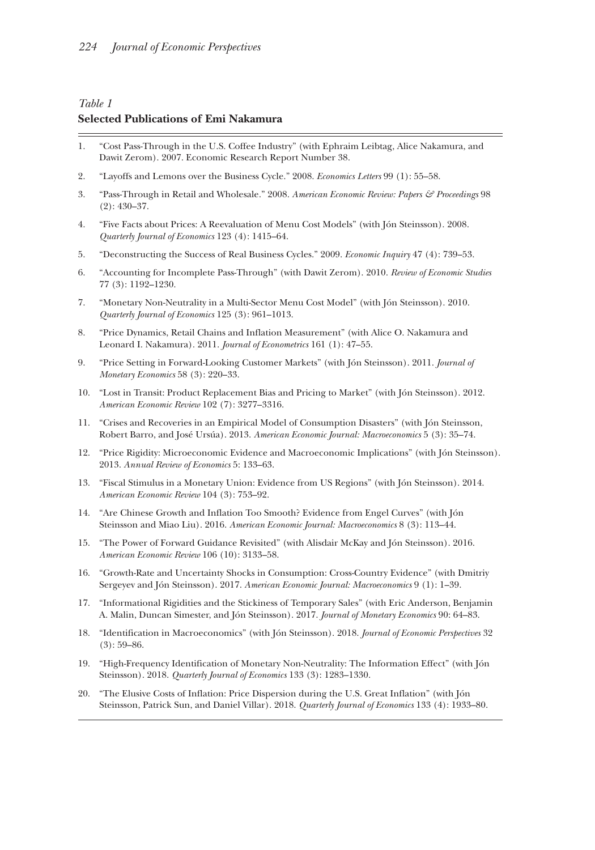### <span id="page-2-0"></span>*Table 1* **Selected Publications of Emi Nakamura**

- 1. "Cost Pass-Through in the U.S. Coffee Industry" (with Ephraim Leibtag, Alice Nakamura, and Dawit Zerom). 2007. Economic Research Report Number 38.
- 2. "Layoffs and Lemons over the Business Cycle." 2008. *Economics Letters* 99 (1): 55–58.
- 3. "Pass-Through in Retail and Wholesale." 2008. *American Economic Review: Papers & Proceedings* 98 (2): 430–37.
- 4. "Five Facts about Prices: A Reevaluation of Menu Cost Models" (with Jón Steinsson). 2008. *Quarterly Journal of Economics* 123 (4): 1415–64.
- 5. "Deconstructing the Success of Real Business Cycles." 2009. *Economic Inquiry* 47 (4): 739–53.
- 6. "Accounting for Incomplete Pass-Through" (with Dawit Zerom). 2010. *Review of Economic Studies* 77 (3): 1192–1230.
- 7. "Monetary Non-Neutrality in a Multi-Sector Menu Cost Model" (with Jón Steinsson). 2010. *Quarterly Journal of Economics* 125 (3): 961–1013.
- 8. "Price Dynamics, Retail Chains and Inflation Measurement" (with Alice O. Nakamura and Leonard I. Nakamura). 2011. *Journal of Econometrics* 161 (1): 47–55.
- 9. "Price Setting in Forward-Looking Customer Markets" (with Jón Steinsson). 2011. *Journal of Monetary Economics* 58 (3): 220–33.
- 10. "Lost in Transit: Product Replacement Bias and Pricing to Market" (with Jón Steinsson). 2012. *American Economic Review* 102 (7): 3277–3316.
- 11. "Crises and Recoveries in an Empirical Model of Consumption Disasters" (with Jón Steinsson, Robert Barro, and José Ursúa). 2013. *American Economic Journal: Macroeconomics* 5 (3): 35–74.
- 12. "Price Rigidity: Microeconomic Evidence and Macroeconomic Implications" (with Jón Steinsson). 2013. *Annual Review of Economics* 5: 133–63.
- 13. "Fiscal Stimulus in a Monetary Union: Evidence from US Regions" (with Jón Steinsson). 2014. *American Economic Review* 104 (3): 753–92.
- 14. "Are Chinese Growth and Inflation Too Smooth? Evidence from Engel Curves" (with Jón Steinsson and Miao Liu). 2016. *American Economic Journal: Macroeconomics* 8 (3): 113–44.
- 15. "The Power of Forward Guidance Revisited" (with Alisdair McKay and Jón Steinsson). 2016. *American Economic Review* 106 (10): 3133–58.
- 16. "Growth-Rate and Uncertainty Shocks in Consumption: Cross-Country Evidence" (with Dmitriy Sergeyev and Jón Steinsson). 2017. *American Economic Journal: Macroeconomics* 9 (1): 1–39.
- 17. "Informational Rigidities and the Stickiness of Temporary Sales" (with Eric Anderson, Benjamin A. Malin, Duncan Simester, and Jón Steinsson). 2017. *Journal of Monetary Economics* 90: 64–83.
- 18. "Identification in Macroeconomics" (with Jón Steinsson). 2018. *Journal of Economic Perspectives* 32  $(3): 59-86.$
- 19. "High-Frequency Identification of Monetary Non-Neutrality: The Information Effect" (with Jón Steinsson). 2018. *Quarterly Journal of Economics* 133 (3): 1283–1330.
- 20. "The Elusive Costs of Inflation: Price Dispersion during the U.S. Great Inflation" (with Jón Steinsson, Patrick Sun, and Daniel Villar). 2018. *Quarterly Journal of Economics* 133 (4): 1933–80.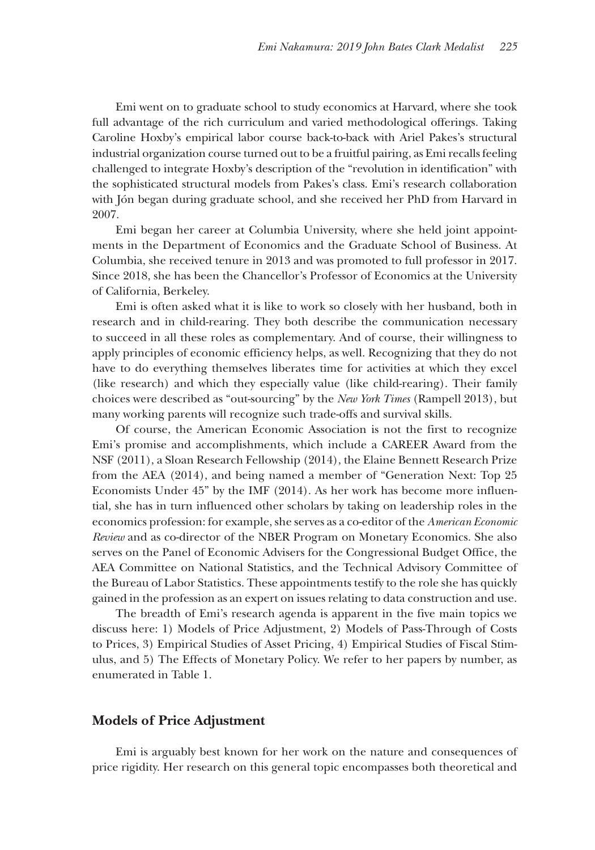Emi went on to graduate school to study economics at Harvard, where she took full advantage of the rich curriculum and varied methodological offerings. Taking Caroline Hoxby's empirical labor course back-to-back with Ariel Pakes's structural industrial organization course turned out to be a fruitful pairing, as Emi recalls feeling challenged to integrate Hoxby's description of the "revolution in identification" with the sophisticated structural models from Pakes's class. Emi's research collaboration with Jón began during graduate school, and she received her PhD from Harvard in 2007.

Emi began her career at Columbia University, where she held joint appointments in the Department of Economics and the Graduate School of Business. At Columbia, she received tenure in 2013 and was promoted to full professor in 2017. Since 2018, she has been the Chancellor's Professor of Economics at the University of California, Berkeley.

Emi is often asked what it is like to work so closely with her husband, both in research and in child-rearing. They both describe the communication necessary to succeed in all these roles as complementary. And of course, their willingness to apply principles of economic efficiency helps, as well. Recognizing that they do not have to do everything themselves liberates time for activities at which they excel (like research) and which they especially value (like child-rearing). Their family choices were described as "out-sourcing" by the *New York Times* (Rampell 2013), but many working parents will recognize such trade-offs and survival skills.

Of course, the American Economic Association is not the first to recognize Emi's promise and accomplishments, which include a CAREER Award from the NSF (2011), a Sloan Research Fellowship (2014), the Elaine Bennett Research Prize from the AEA (2014), and being named a member of "Generation Next: Top 25 Economists Under 45" by the IMF (2014). As her work has become more influential, she has in turn influenced other scholars by taking on leadership roles in the economics profession: for example, she serves as a co-editor of the *American Economic Review* and as co-director of the NBER Program on Monetary Economics. She also serves on the Panel of Economic Advisers for the Congressional Budget Office, the AEA Committee on National Statistics, and the Technical Advisory Committee of the Bureau of Labor Statistics. These appointments testify to the role she has quickly gained in the profession as an expert on issues relating to data construction and use.

The breadth of Emi's research agenda is apparent in the five main topics we discuss here: 1) Models of Price Adjustment, 2) Models of Pass-Through of Costs to Prices, 3) Empirical Studies of Asset Pricing, 4) Empirical Studies of Fiscal Stimulus, and 5) The Effects of Monetary Policy. We refer to her papers by number, as enumerated in Table 1.

#### **Models of Price Adjustment**

Emi is arguably best known for her work on the nature and consequences of price rigidity. Her research on this general topic encompasses both theoretical and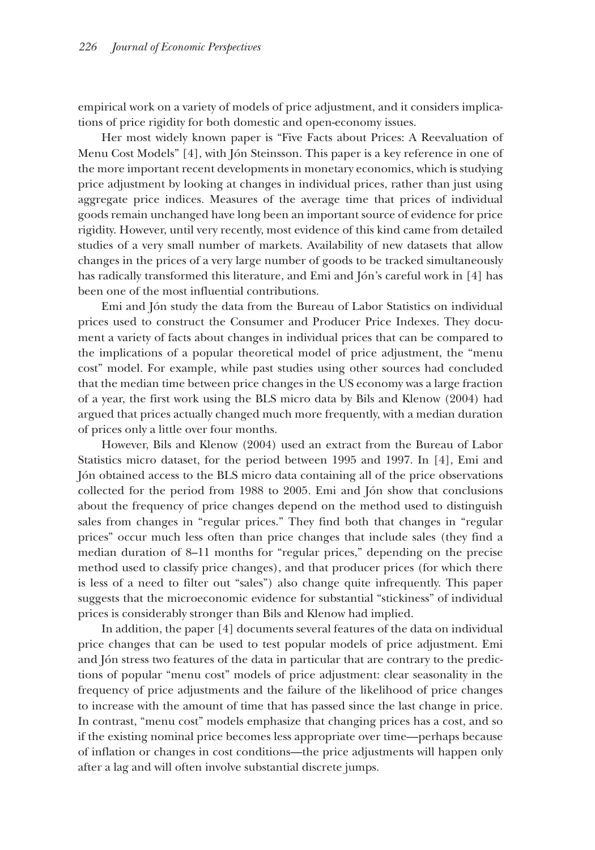empirical work on a variety of models of price adjustment, and it considers implications of price rigidity for both domestic and open-economy issues.

Her most widely known paper is "Five Facts about Prices: A Reevaluation of Menu Cost Models" [4], with Jón Steinsson. This paper is a key reference in one of the more important recent developments in monetary economics, which is studying price adjustment by looking at changes in individual prices, rather than just using aggregate price indices. Measures of the average time that prices of individual goods remain unchanged have long been an important source of evidence for price rigidity. However, until very recently, most evidence of this kind came from detailed studies of a very small number of markets. Availability of new datasets that allow changes in the prices of a very large number of goods to be tracked simultaneously has radically transformed this literature, and Emi and Jón's careful work in [4] has been one of the most influential contributions.

Emi and Jón study the data from the Bureau of Labor Statistics on individual prices used to construct the Consumer and Producer Price Indexes. They document a variety of facts about changes in individual prices that can be compared to the implications of a popular theoretical model of price adjustment, the "menu cost" model. For example, while past studies using other sources had concluded that the median time between price changes in the US economy was a large fraction of a year, the first work using the BLS micro data by Bils and Klenow (2004) had argued that prices actually changed much more frequently, with a median duration of prices only a little over four months.

However, Bils and Klenow (2004) used an extract from the Bureau of Labor Statistics micro dataset, for the period between 1995 and 1997. In [4], Emi and Jón obtained access to the BLS micro data containing all of the price observations collected for the period from 1988 to 2005. Emi and Jón show that conclusions about the frequency of price changes depend on the method used to distinguish sales from changes in "regular prices." They find both that changes in "regular prices" occur much less often than price changes that include sales (they find a median duration of 8–11 months for "regular prices," depending on the precise method used to classify price changes), and that producer prices (for which there is less of a need to filter out "sales") also change quite infrequently. This paper suggests that the microeconomic evidence for substantial "stickiness" of individual prices is considerably stronger than Bils and Klenow had implied.

In addition, the paper [4] documents several features of the data on individual price changes that can be used to test popular models of price adjustment. Emi and Jón stress two features of the data in particular that are contrary to the predictions of popular "menu cost" models of price adjustment: clear seasonality in the frequency of price adjustments and the failure of the likelihood of price changes to increase with the amount of time that has passed since the last change in price. In contrast, "menu cost" models emphasize that changing prices has a cost, and so if the existing nominal price becomes less appropriate over time—perhaps because of inflation or changes in cost conditions—the price adjustments will happen only after a lag and will often involve substantial discrete jumps.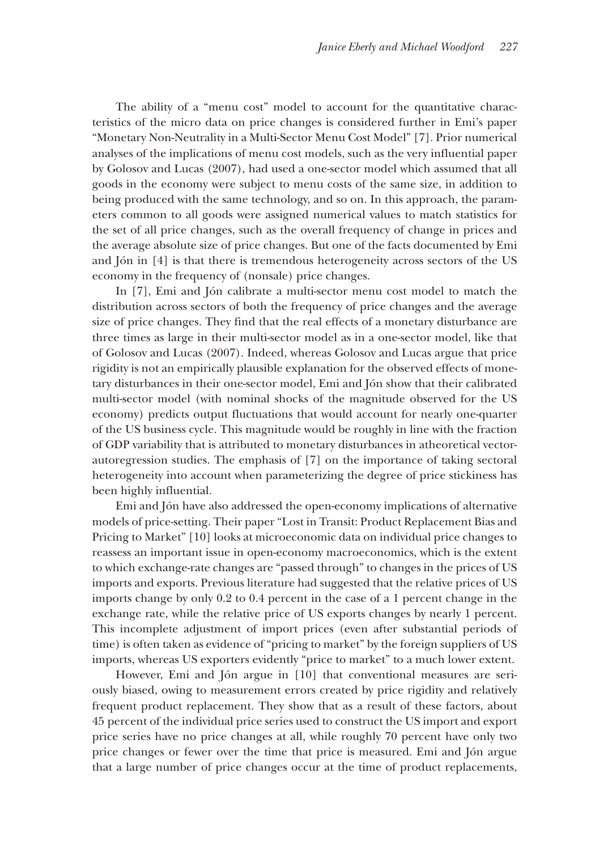The ability of a "menu cost" model to account for the quantitative characteristics of the micro data on price changes is considered further in Emi's paper "Monetary Non-Neutrality in a Multi-Sector Menu Cost Model" [7]. Prior numerical analyses of the implications of menu cost models, such as the very influential paper by Golosov and Lucas (2007), had used a one-sector model which assumed that all goods in the economy were subject to menu costs of the same size, in addition to being produced with the same technology, and so on. In this approach, the parameters common to all goods were assigned numerical values to match statistics for the set of all price changes, such as the overall frequency of change in prices and the average absolute size of price changes. But one of the facts documented by Emi and Jón in [4] is that there is tremendous heterogeneity across sectors of the US economy in the frequency of (nonsale) price changes.

In [7], Emi and Jón calibrate a multi-sector menu cost model to match the distribution across sectors of both the frequency of price changes and the average size of price changes. They find that the real effects of a monetary disturbance are three times as large in their multi-sector model as in a one-sector model, like that of Golosov and Lucas (2007). Indeed, whereas Golosov and Lucas argue that price rigidity is not an empirically plausible explanation for the observed effects of monetary disturbances in their one-sector model, Emi and Jón show that their calibrated multi-sector model (with nominal shocks of the magnitude observed for the US economy) predicts output fluctuations that would account for nearly one-quarter of the US business cycle. This magnitude would be roughly in line with the fraction of GDP variability that is attributed to monetary disturbances in atheoretical vectorautoregression studies. The emphasis of [7] on the importance of taking sectoral heterogeneity into account when parameterizing the degree of price stickiness has been highly influential.

Emi and Jón have also addressed the open-economy implications of alternative models of price-setting. Their paper "Lost in Transit: Product Replacement Bias and Pricing to Market" [10] looks at microeconomic data on individual price changes to reassess an important issue in open-economy macroeconomics, which is the extent to which exchange-rate changes are "passed through" to changes in the prices of US imports and exports. Previous literature had suggested that the relative prices of US imports change by only 0.2 to 0.4 percent in the case of a 1 percent change in the exchange rate, while the relative price of US exports changes by nearly 1 percent. This incomplete adjustment of import prices (even after substantial periods of time) is often taken as evidence of "pricing to market" by the foreign suppliers of US imports, whereas US exporters evidently "price to market" to a much lower extent.

However, Emi and Jón argue in [10] that conventional measures are seriously biased, owing to measurement errors created by price rigidity and relatively frequent product replacement. They show that as a result of these factors, about 45 percent of the individual price series used to construct the US import and export price series have no price changes at all, while roughly 70 percent have only two price changes or fewer over the time that price is measured. Emi and Jón argue that a large number of price changes occur at the time of product replacements,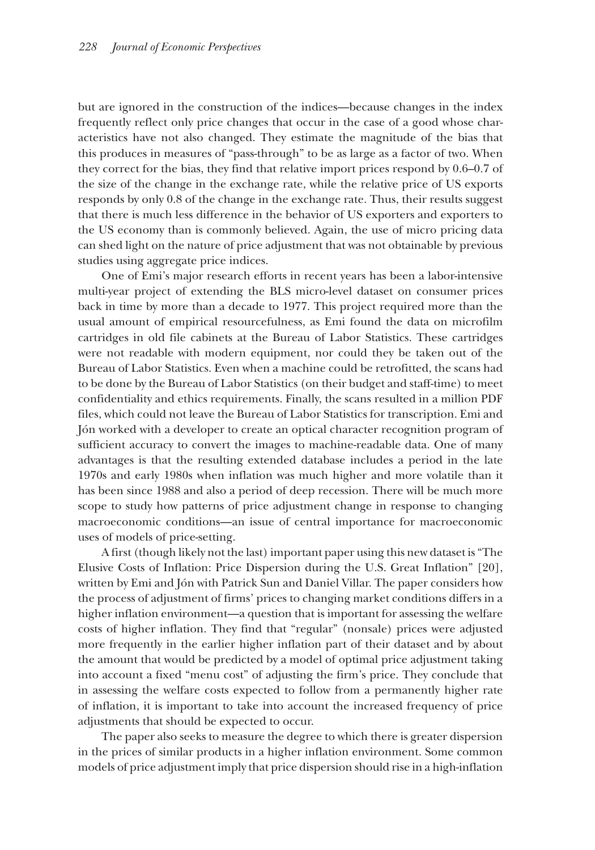but are ignored in the construction of the indices—because changes in the index frequently reflect only price changes that occur in the case of a good whose characteristics have not also changed. They estimate the magnitude of the bias that this produces in measures of "pass-through" to be as large as a factor of two. When they correct for the bias, they find that relative import prices respond by 0.6–0.7 of the size of the change in the exchange rate, while the relative price of US exports responds by only 0.8 of the change in the exchange rate. Thus, their results suggest that there is much less difference in the behavior of US exporters and exporters to the US economy than is commonly believed. Again, the use of micro pricing data can shed light on the nature of price adjustment that was not obtainable by previous studies using aggregate price indices.

One of Emi's major research efforts in recent years has been a labor-intensive multi-year project of extending the BLS micro-level dataset on consumer prices back in time by more than a decade to 1977. This project required more than the usual amount of empirical resourcefulness, as Emi found the data on microfilm cartridges in old file cabinets at the Bureau of Labor Statistics. These cartridges were not readable with modern equipment, nor could they be taken out of the Bureau of Labor Statistics. Even when a machine could be retrofitted, the scans had to be done by the Bureau of Labor Statistics (on their budget and staff-time) to meet confidentiality and ethics requirements. Finally, the scans resulted in a million PDF files, which could not leave the Bureau of Labor Statistics for transcription. Emi and Jón worked with a developer to create an optical character recognition program of sufficient accuracy to convert the images to machine-readable data. One of many advantages is that the resulting extended database includes a period in the late 1970s and early 1980s when inflation was much higher and more volatile than it has been since 1988 and also a period of deep recession. There will be much more scope to study how patterns of price adjustment change in response to changing macroeconomic conditions—an issue of central importance for macroeconomic uses of models of price-setting.

A first (though likely not the last) important paper using this new dataset is "The Elusive Costs of Inflation: Price Dispersion during the U.S. Great Inflation" [20], written by Emi and Jón with Patrick Sun and Daniel Villar. The paper considers how the process of adjustment of firms' prices to changing market conditions differs in a higher inflation environment—a question that is important for assessing the welfare costs of higher inflation. They find that "regular" (nonsale) prices were adjusted more frequently in the earlier higher inflation part of their dataset and by about the amount that would be predicted by a model of optimal price adjustment taking into account a fixed "menu cost" of adjusting the firm's price. They conclude that in assessing the welfare costs expected to follow from a permanently higher rate of inflation, it is important to take into account the increased frequency of price adjustments that should be expected to occur.

The paper also seeks to measure the degree to which there is greater dispersion in the prices of similar products in a higher inflation environment. Some common models of price adjustment imply that price dispersion should rise in a high-inflation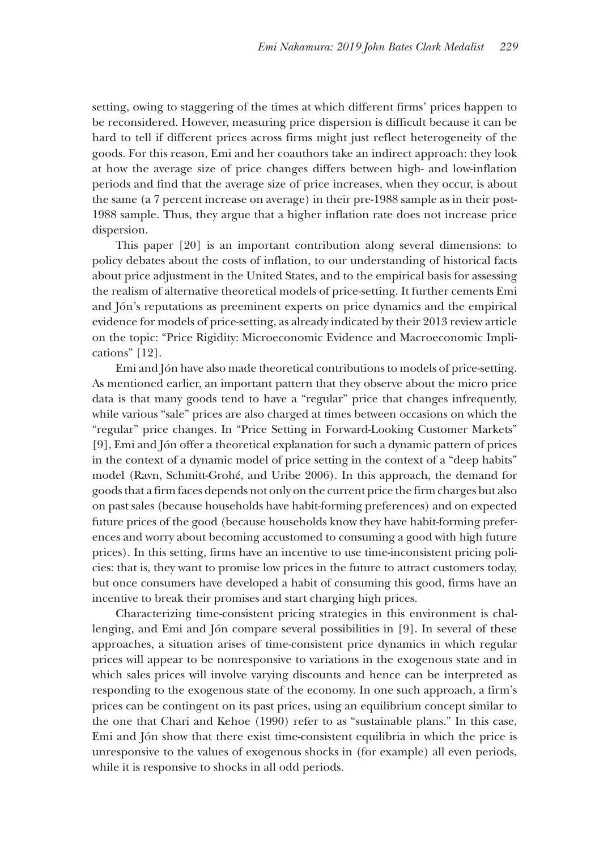setting, owing to staggering of the times at which different firms' prices happen to be reconsidered. However, measuring price dispersion is difficult because it can be hard to tell if different prices across firms might just reflect heterogeneity of the goods. For this reason, Emi and her coauthors take an indirect approach: they look at how the average size of price changes differs between high- and low-inflation periods and find that the average size of price increases, when they occur, is about the same (a 7 percent increase on average) in their pre-1988 sample as in their post-1988 sample. Thus, they argue that a higher inflation rate does not increase price dispersion.

This paper [20] is an important contribution along several dimensions: to policy debates about the costs of inflation, to our understanding of historical facts about price adjustment in the United States, and to the empirical basis for assessing the realism of alternative theoretical models of price-setting. It further cements Emi and Jón's reputations as preeminent experts on price dynamics and the empirical evidence for models of price-setting, as already indicated by their 2013 review article on the topic: "Price Rigidity: Microeconomic Evidence and Macroeconomic Implications" [12].

Emi and Jón have also made theoretical contributions to models of price-setting. As mentioned earlier, an important pattern that they observe about the micro price data is that many goods tend to have a "regular" price that changes infrequently, while various "sale" prices are also charged at times between occasions on which the "regular" price changes. In "Price Setting in Forward-Looking Customer Markets" [9], Emi and Jón offer a theoretical explanation for such a dynamic pattern of prices in the context of a dynamic model of price setting in the context of a "deep habits" model (Ravn, Schmitt-Grohé, and Uribe 2006). In this approach, the demand for goods that a firm faces depends not only on the current price the firm charges but also on past sales (because households have habit-forming preferences) and on expected future prices of the good (because households know they have habit-forming preferences and worry about becoming accustomed to consuming a good with high future prices). In this setting, firms have an incentive to use time-inconsistent pricing policies: that is, they want to promise low prices in the future to attract customers today, but once consumers have developed a habit of consuming this good, firms have an incentive to break their promises and start charging high prices.

Characterizing time-consistent pricing strategies in this environment is challenging, and Emi and Jón compare several possibilities in [9]. In several of these approaches, a situation arises of time-consistent price dynamics in which regular prices will appear to be nonresponsive to variations in the exogenous state and in which sales prices will involve varying discounts and hence can be interpreted as responding to the exogenous state of the economy. In one such approach, a firm's prices can be contingent on its past prices, using an equilibrium concept similar to the one that Chari and Kehoe (1990) refer to as "sustainable plans." In this case, Emi and Jón show that there exist time-consistent equilibria in which the price is unresponsive to the values of exogenous shocks in (for example) all even periods, while it is responsive to shocks in all odd periods.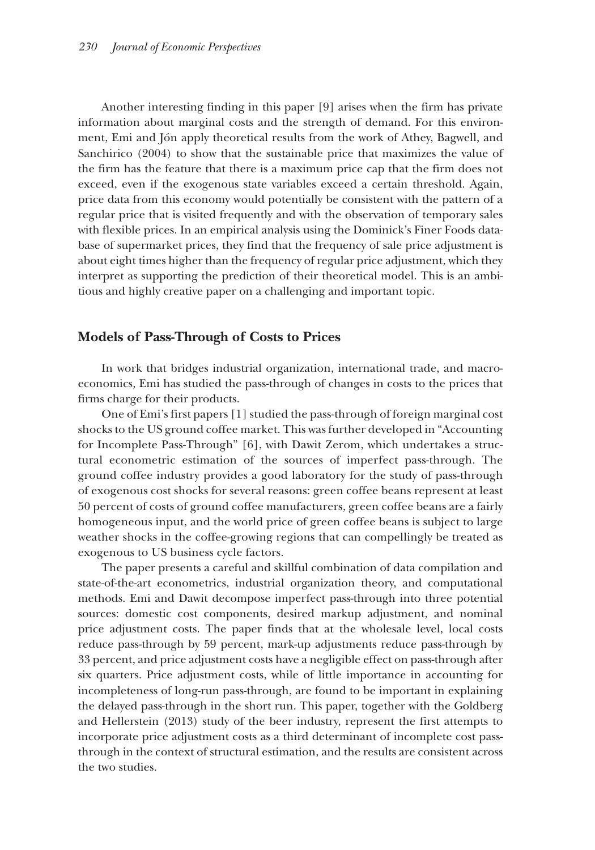Another interesting finding in this paper [9] arises when the firm has private information about marginal costs and the strength of demand. For this environment, Emi and Jón apply theoretical results from the work of Athey, Bagwell, and Sanchirico (2004) to show that the sustainable price that maximizes the value of the firm has the feature that there is a maximum price cap that the firm does not exceed, even if the exogenous state variables exceed a certain threshold. Again, price data from this economy would potentially be consistent with the pattern of a regular price that is visited frequently and with the observation of temporary sales with flexible prices. In an empirical analysis using the Dominick's Finer Foods database of supermarket prices, they find that the frequency of sale price adjustment is about eight times higher than the frequency of regular price adjustment, which they interpret as supporting the prediction of their theoretical model. This is an ambitious and highly creative paper on a challenging and important topic.

#### **Models of Pass-Through of Costs to Prices**

In work that bridges industrial organization, international trade, and macroeconomics, Emi has studied the pass-through of changes in costs to the prices that firms charge for their products.

One of Emi's first papers [1] studied the pass-through of foreign marginal cost shocks to the US ground coffee market. This was further developed in "Accounting for Incomplete Pass-Through" [6], with Dawit Zerom, which undertakes a structural econometric estimation of the sources of imperfect pass-through. The ground coffee industry provides a good laboratory for the study of pass-through of exogenous cost shocks for several reasons: green coffee beans represent at least 50 percent of costs of ground coffee manufacturers, green coffee beans are a fairly homogeneous input, and the world price of green coffee beans is subject to large weather shocks in the coffee-growing regions that can compellingly be treated as exogenous to US business cycle factors.

The paper presents a careful and skillful combination of data compilation and state-of-the-art econometrics, industrial organization theory, and computational methods. Emi and Dawit decompose imperfect pass-through into three potential sources: domestic cost components, desired markup adjustment, and nominal price adjustment costs. The paper finds that at the wholesale level, local costs reduce pass-through by 59 percent, mark-up adjustments reduce pass-through by 33 percent, and price adjustment costs have a negligible effect on pass-through after six quarters. Price adjustment costs, while of little importance in accounting for incompleteness of long-run pass-through, are found to be important in explaining the delayed pass-through in the short run. This paper, together with the Goldberg and Hellerstein (2013) study of the beer industry, represent the first attempts to incorporate price adjustment costs as a third determinant of incomplete cost passthrough in the context of structural estimation, and the results are consistent across the two studies.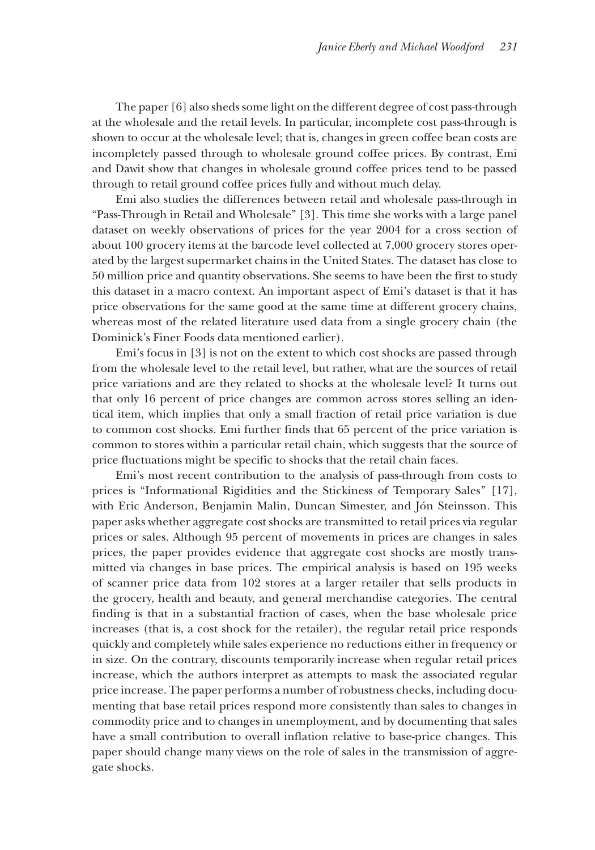The paper [6] also sheds some light on the different degree of cost pass-through at the wholesale and the retail levels. In particular, incomplete cost pass-through is shown to occur at the wholesale level; that is, changes in green coffee bean costs are incompletely passed through to wholesale ground coffee prices. By contrast, Emi and Dawit show that changes in wholesale ground coffee prices tend to be passed through to retail ground coffee prices fully and without much delay.

Emi also studies the differences between retail and wholesale pass-through in "Pass-Through in Retail and Wholesale" [3]. This time she works with a large panel dataset on weekly observations of prices for the year 2004 for a cross section of about 100 grocery items at the barcode level collected at 7,000 grocery stores operated by the largest supermarket chains in the United States. The dataset has close to 50 million price and quantity observations. She seems to have been the first to study this dataset in a macro context. An important aspect of Emi's dataset is that it has price observations for the same good at the same time at different grocery chains, whereas most of the related literature used data from a single grocery chain (the Dominick's Finer Foods data mentioned earlier).

Emi's focus in [3] is not on the extent to which cost shocks are passed through from the wholesale level to the retail level, but rather, what are the sources of retail price variations and are they related to shocks at the wholesale level? It turns out that only 16 percent of price changes are common across stores selling an identical item, which implies that only a small fraction of retail price variation is due to common cost shocks. Emi further finds that 65 percent of the price variation is common to stores within a particular retail chain, which suggests that the source of price fluctuations might be specific to shocks that the retail chain faces.

Emi's most recent contribution to the analysis of pass-through from costs to prices is "Informational Rigidities and the Stickiness of Temporary Sales'' [17], with Eric Anderson, Benjamin Malin, Duncan Simester, and Jón Steinsson. This paper asks whether aggregate cost shocks are transmitted to retail prices via regular prices or sales. Although 95 percent of movements in prices are changes in sales prices, the paper provides evidence that aggregate cost shocks are mostly transmitted via changes in base prices. The empirical analysis is based on 195 weeks of scanner price data from 102 stores at a larger retailer that sells products in the grocery, health and beauty, and general merchandise categories. The central finding is that in a substantial fraction of cases, when the base wholesale price increases (that is, a cost shock for the retailer), the regular retail price responds quickly and completely while sales experience no reductions either in frequency or in size. On the contrary, discounts temporarily increase when regular retail prices increase, which the authors interpret as attempts to mask the associated regular price increase. The paper performs a number of robustness checks, including documenting that base retail prices respond more consistently than sales to changes in commodity price and to changes in unemployment, and by documenting that sales have a small contribution to overall inflation relative to base-price changes. This paper should change many views on the role of sales in the transmission of aggregate shocks.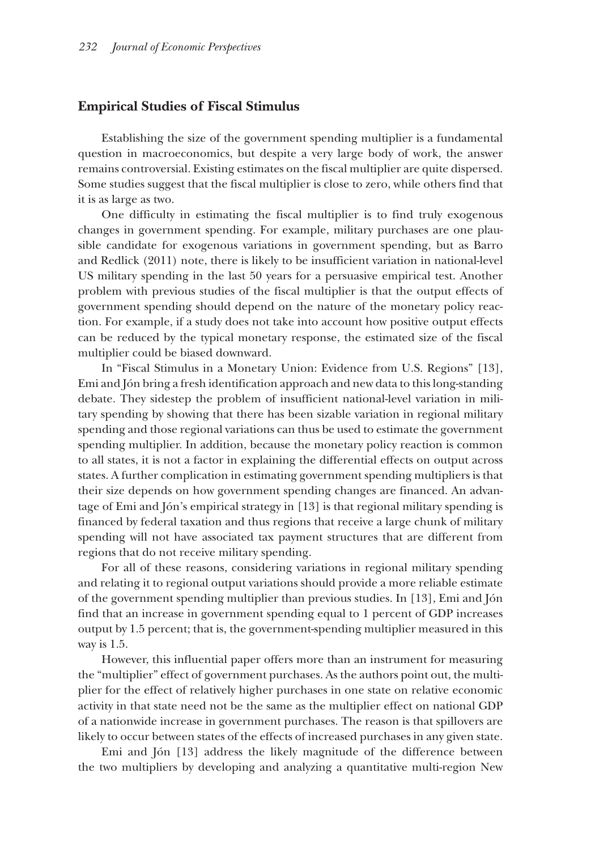#### **Empirical Studies of Fiscal Stimulus**

Establishing the size of the government spending multiplier is a fundamental question in macroeconomics, but despite a very large body of work, the answer remains controversial. Existing estimates on the fiscal multiplier are quite dispersed. Some studies suggest that the fiscal multiplier is close to zero, while others find that it is as large as two.

One difficulty in estimating the fiscal multiplier is to find truly exogenous changes in government spending. For example, military purchases are one plausible candidate for exogenous variations in government spending, but as Barro and Redlick (2011) note, there is likely to be insufficient variation in national-level US military spending in the last 50 years for a persuasive empirical test. Another problem with previous studies of the fiscal multiplier is that the output effects of government spending should depend on the nature of the monetary policy reaction. For example, if a study does not take into account how positive output effects can be reduced by the typical monetary response, the estimated size of the fiscal multiplier could be biased downward.

In "Fiscal Stimulus in a Monetary Union: Evidence from U.S. Regions" [13], Emi and Jón bring a fresh identification approach and new data to this long-standing debate. They sidestep the problem of insufficient national-level variation in military spending by showing that there has been sizable variation in regional military spending and those regional variations can thus be used to estimate the government spending multiplier. In addition, because the monetary policy reaction is common to all states, it is not a factor in explaining the differential effects on output across states. A further complication in estimating government spending multipliers is that their size depends on how government spending changes are financed. An advantage of Emi and Jón's empirical strategy in [13] is that regional military spending is financed by federal taxation and thus regions that receive a large chunk of military spending will not have associated tax payment structures that are different from regions that do not receive military spending.

For all of these reasons, considering variations in regional military spending and relating it to regional output variations should provide a more reliable estimate of the government spending multiplier than previous studies. In [13], Emi and Jón find that an increase in government spending equal to 1 percent of GDP increases output by 1.5 percent; that is, the government-spending multiplier measured in this way is 1.5.

However, this influential paper offers more than an instrument for measuring the "multiplier" effect of government purchases. As the authors point out, the multiplier for the effect of relatively higher purchases in one state on relative economic activity in that state need not be the same as the multiplier effect on national GDP of a nationwide increase in government purchases. The reason is that spillovers are likely to occur between states of the effects of increased purchases in any given state.

Emi and Jón [13] address the likely magnitude of the difference between the two multipliers by developing and analyzing a quantitative multi-region New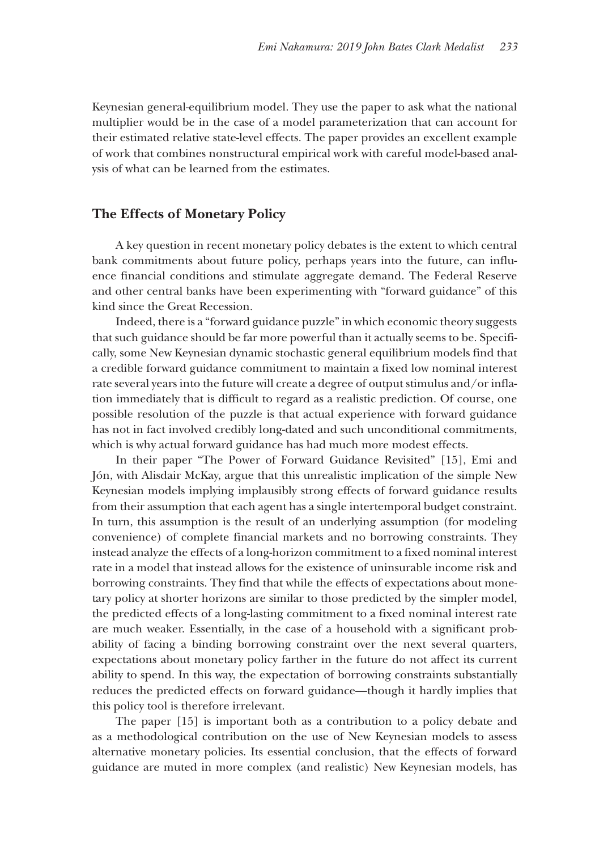Keynesian general-equilibrium model. They use the paper to ask what the national multiplier would be in the case of a model parameterization that can account for their estimated relative state-level effects. The paper provides an excellent example of work that combines nonstructural empirical work with careful model-based analysis of what can be learned from the estimates.

#### **The Effects of Monetary Policy**

A key question in recent monetary policy debates is the extent to which central bank commitments about future policy, perhaps years into the future, can influence financial conditions and stimulate aggregate demand. The Federal Reserve and other central banks have been experimenting with "forward guidance" of this kind since the Great Recession.

Indeed, there is a "forward guidance puzzle" in which economic theory suggests that such guidance should be far more powerful than it actually seems to be. Specifically, some New Keynesian dynamic stochastic general equilibrium models find that a credible forward guidance commitment to maintain a fixed low nominal interest rate several years into the future will create a degree of output stimulus and/or inflation immediately that is difficult to regard as a realistic prediction. Of course, one possible resolution of the puzzle is that actual experience with forward guidance has not in fact involved credibly long-dated and such unconditional commitments, which is why actual forward guidance has had much more modest effects.

In their paper "The Power of Forward Guidance Revisited" [15], Emi and Jón, with Alisdair McKay, argue that this unrealistic implication of the simple New Keynesian models implying implausibly strong effects of forward guidance results from their assumption that each agent has a single intertemporal budget constraint. In turn, this assumption is the result of an underlying assumption (for modeling convenience) of complete financial markets and no borrowing constraints. They instead analyze the effects of a long-horizon commitment to a fixed nominal interest rate in a model that instead allows for the existence of uninsurable income risk and borrowing constraints. They find that while the effects of expectations about monetary policy at shorter horizons are similar to those predicted by the simpler model, the predicted effects of a long-lasting commitment to a fixed nominal interest rate are much weaker. Essentially, in the case of a household with a significant probability of facing a binding borrowing constraint over the next several quarters, expectations about monetary policy farther in the future do not affect its current ability to spend. In this way, the expectation of borrowing constraints substantially reduces the predicted effects on forward guidance—though it hardly implies that this policy tool is therefore irrelevant.

The paper [15] is important both as a contribution to a policy debate and as a methodological contribution on the use of New Keynesian models to assess alternative monetary policies. Its essential conclusion, that the effects of forward guidance are muted in more complex (and realistic) New Keynesian models, has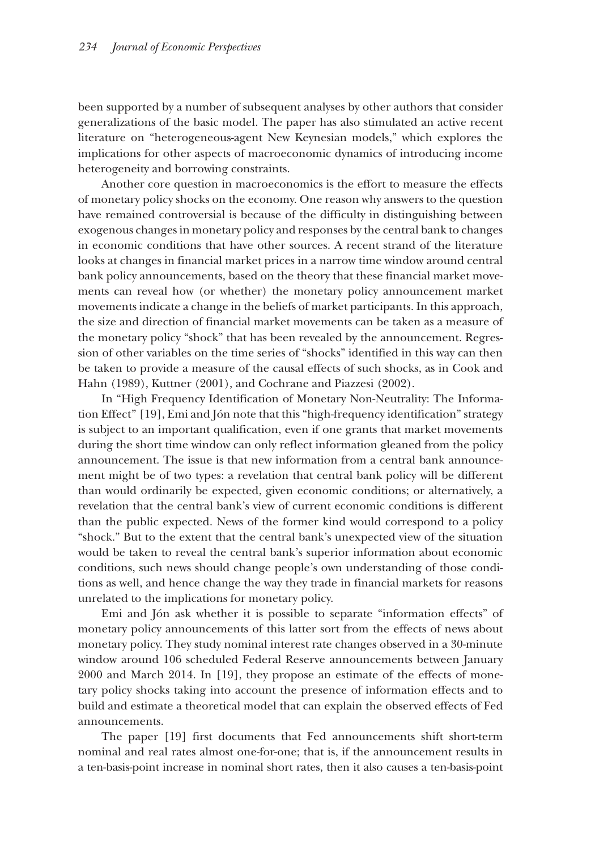been supported by a number of subsequent analyses by other authors that consider generalizations of the basic model. The paper has also stimulated an active recent literature on "heterogeneous-agent New Keynesian models," which explores the implications for other aspects of macroeconomic dynamics of introducing income heterogeneity and borrowing constraints.

Another core question in macroeconomics is the effort to measure the effects of monetary policy shocks on the economy. One reason why answers to the question have remained controversial is because of the difficulty in distinguishing between exogenous changes in monetary policy and responses by the central bank to changes in economic conditions that have other sources. A recent strand of the literature looks at changes in financial market prices in a narrow time window around central bank policy announcements, based on the theory that these financial market movements can reveal how (or whether) the monetary policy announcement market movements indicate a change in the beliefs of market participants. In this approach, the size and direction of financial market movements can be taken as a measure of the monetary policy "shock" that has been revealed by the announcement. Regression of other variables on the time series of "shocks" identified in this way can then be taken to provide a measure of the causal effects of such shocks, as in Cook and Hahn (1989), Kuttner (2001), and Cochrane and Piazzesi (2002).

In "High Frequency Identification of Monetary Non-Neutrality: The Information Effect'' [19], Emi and Jón note that this "high-frequency identification" strategy is subject to an important qualification, even if one grants that market movements during the short time window can only reflect information gleaned from the policy announcement. The issue is that new information from a central bank announcement might be of two types: a revelation that central bank policy will be different than would ordinarily be expected, given economic conditions; or alternatively, a revelation that the central bank's view of current economic conditions is different than the public expected. News of the former kind would correspond to a policy "shock." But to the extent that the central bank's unexpected view of the situation would be taken to reveal the central bank's superior information about economic conditions, such news should change people's own understanding of those conditions as well, and hence change the way they trade in financial markets for reasons unrelated to the implications for monetary policy.

Emi and Jón ask whether it is possible to separate "information effects" of monetary policy announcements of this latter sort from the effects of news about monetary policy. They study nominal interest rate changes observed in a 30-minute window around 106 scheduled Federal Reserve announcements between January 2000 and March 2014. In [19], they propose an estimate of the effects of monetary policy shocks taking into account the presence of information effects and to build and estimate a theoretical model that can explain the observed effects of Fed announcements.

The paper [19] first documents that Fed announcements shift short-term nominal and real rates almost one-for-one; that is, if the announcement results in a ten-basis-point increase in nominal short rates, then it also causes a ten-basis-point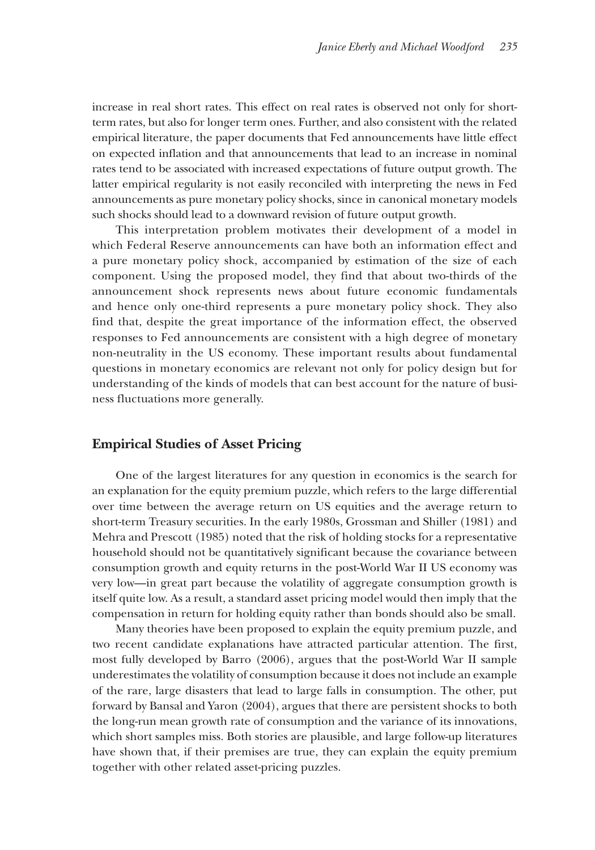increase in real short rates. This effect on real rates is observed not only for shortterm rates, but also for longer term ones. Further, and also consistent with the related empirical literature, the paper documents that Fed announcements have little effect on expected inflation and that announcements that lead to an increase in nominal rates tend to be associated with increased expectations of future output growth. The latter empirical regularity is not easily reconciled with interpreting the news in Fed announcements as pure monetary policy shocks, since in canonical monetary models such shocks should lead to a downward revision of future output growth.

This interpretation problem motivates their development of a model in which Federal Reserve announcements can have both an information effect and a pure monetary policy shock, accompanied by estimation of the size of each component. Using the proposed model, they find that about two-thirds of the announcement shock represents news about future economic fundamentals and hence only one-third represents a pure monetary policy shock. They also find that, despite the great importance of the information effect, the observed responses to Fed announcements are consistent with a high degree of monetary non-neutrality in the US economy. These important results about fundamental questions in monetary economics are relevant not only for policy design but for understanding of the kinds of models that can best account for the nature of business fluctuations more generally.

#### **Empirical Studies of Asset Pricing**

One of the largest literatures for any question in economics is the search for an explanation for the equity premium puzzle, which refers to the large differential over time between the average return on US equities and the average return to short-term Treasury securities. In the early 1980s, Grossman and Shiller (1981) and Mehra and Prescott (1985) noted that the risk of holding stocks for a representative household should not be quantitatively significant because the covariance between consumption growth and equity returns in the post-World War II US economy was very low—in great part because the volatility of aggregate consumption growth is itself quite low. As a result, a standard asset pricing model would then imply that the compensation in return for holding equity rather than bonds should also be small.

Many theories have been proposed to explain the equity premium puzzle, and two recent candidate explanations have attracted particular attention. The first, most fully developed by Barro (2006), argues that the post-World War II sample underestimates the volatility of consumption because it does not include an example of the rare, large disasters that lead to large falls in consumption. The other, put forward by Bansal and Yaron (2004), argues that there are persistent shocks to both the long-run mean growth rate of consumption and the variance of its innovations, which short samples miss. Both stories are plausible, and large follow-up literatures have shown that, if their premises are true, they can explain the equity premium together with other related asset-pricing puzzles.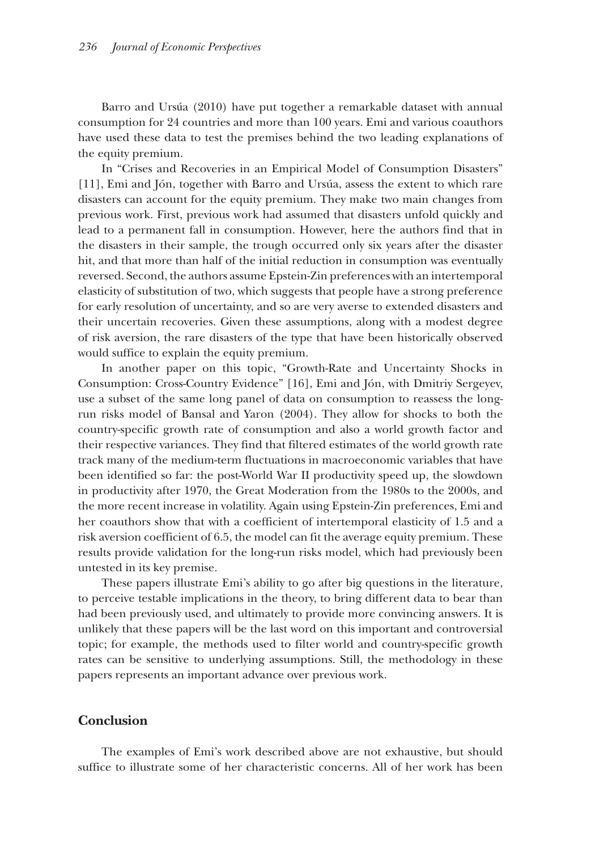Barro and Ursúa (2010) have put together a remarkable dataset with annual consumption for 24 countries and more than 100 years. Emi and various coauthors have used these data to test the premises behind the two leading explanations of the equity premium.

In "Crises and Recoveries in an Empirical Model of Consumption Disasters" [11], Emi and Jón, together with Barro and Ursúa, assess the extent to which rare disasters can account for the equity premium. They make two main changes from previous work. First, previous work had assumed that disasters unfold quickly and lead to a permanent fall in consumption. However, here the authors find that in the disasters in their sample, the trough occurred only six years after the disaster hit, and that more than half of the initial reduction in consumption was eventually reversed. Second, the authors assume Epstein-Zin preferences with an intertemporal elasticity of substitution of two, which suggests that people have a strong preference for early resolution of uncertainty, and so are very averse to extended disasters and their uncertain recoveries. Given these assumptions, along with a modest degree of risk aversion, the rare disasters of the type that have been historically observed would suffice to explain the equity premium.

In another paper on this topic, "Growth-Rate and Uncertainty Shocks in Consumption: Cross-Country Evidence" [16], Emi and Jón, with Dmitriy Sergeyev, use a subset of the same long panel of data on consumption to reassess the longrun risks model of Bansal and Yaron (2004). They allow for shocks to both the country-specific growth rate of consumption and also a world growth factor and their respective variances. They find that filtered estimates of the world growth rate track many of the medium-term fluctuations in macroeconomic variables that have been identified so far: the post-World War II productivity speed up, the slowdown in productivity after 1970, the Great Moderation from the 1980s to the 2000s, and the more recent increase in volatility. Again using Epstein-Zin preferences, Emi and her coauthors show that with a coefficient of intertemporal elasticity of 1.5 and a risk aversion coefficient of 6.5, the model can fit the average equity premium. These results provide validation for the long-run risks model, which had previously been untested in its key premise.

These papers illustrate Emi's ability to go after big questions in the literature, to perceive testable implications in the theory, to bring different data to bear than had been previously used, and ultimately to provide more convincing answers. It is unlikely that these papers will be the last word on this important and controversial topic; for example, the methods used to filter world and country-specific growth rates can be sensitive to underlying assumptions. Still, the methodology in these papers represents an important advance over previous work.

#### **Conclusion**

The examples of Emi's work described above are not exhaustive, but should suffice to illustrate some of her characteristic concerns. All of her work has been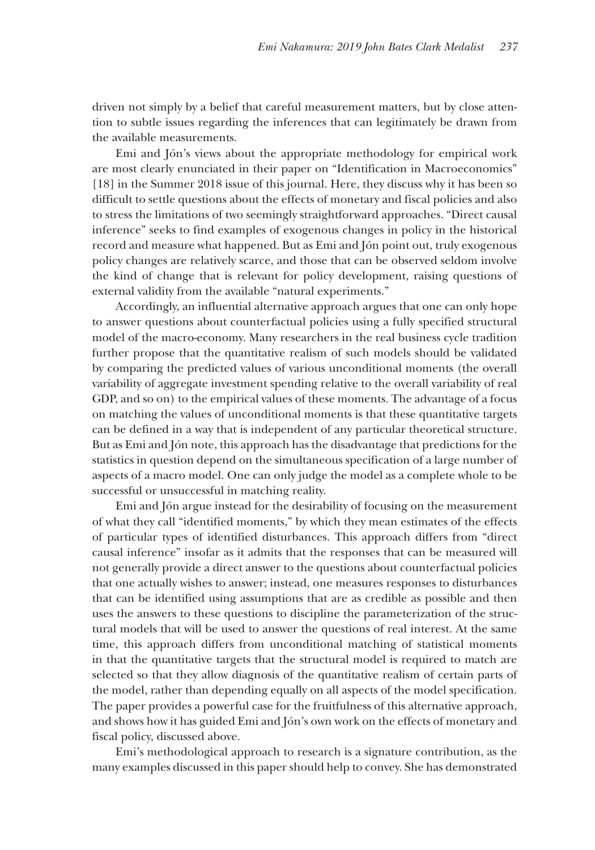driven not simply by a belief that careful measurement matters, but by close attention to subtle issues regarding the inferences that can legitimately be drawn from the available measurements.

Emi and Jón's views about the appropriate methodology for empirical work are most clearly enunciated in their paper on "Identification in Macroeconomics" [18] in the Summer 2018 issue of this journal. Here, they discuss why it has been so difficult to settle questions about the effects of monetary and fiscal policies and also to stress the limitations of two seemingly straightforward approaches. "Direct causal inference" seeks to find examples of exogenous changes in policy in the historical record and measure what happened. But as Emi and Jón point out, truly exogenous policy changes are relatively scarce, and those that can be observed seldom involve the kind of change that is relevant for policy development, raising questions of external validity from the available "natural experiments."

Accordingly, an influential alternative approach argues that one can only hope to answer questions about counterfactual policies using a fully specified structural model of the macro-economy. Many researchers in the real business cycle tradition further propose that the quantitative realism of such models should be validated by comparing the predicted values of various unconditional moments (the overall variability of aggregate investment spending relative to the overall variability of real GDP, and so on) to the empirical values of these moments. The advantage of a focus on matching the values of unconditional moments is that these quantitative targets can be defined in a way that is independent of any particular theoretical structure. But as Emi and Jón note, this approach has the disadvantage that predictions for the statistics in question depend on the simultaneous specification of a large number of aspects of a macro model. One can only judge the model as a complete whole to be successful or unsuccessful in matching reality.

Emi and Jón argue instead for the desirability of focusing on the measurement of what they call "identified moments," by which they mean estimates of the effects of particular types of identified disturbances. This approach differs from "direct causal inference" insofar as it admits that the responses that can be measured will not generally provide a direct answer to the questions about counterfactual policies that one actually wishes to answer; instead, one measures responses to disturbances that can be identified using assumptions that are as credible as possible and then uses the answers to these questions to discipline the parameterization of the structural models that will be used to answer the questions of real interest. At the same time, this approach differs from unconditional matching of statistical moments in that the quantitative targets that the structural model is required to match are selected so that they allow diagnosis of the quantitative realism of certain parts of the model, rather than depending equally on all aspects of the model specification. The paper provides a powerful case for the fruitfulness of this alternative approach, and shows how it has guided Emi and Jón's own work on the effects of monetary and fiscal policy, discussed above.

Emi's methodological approach to research is a signature contribution, as the many examples discussed in this paper should help to convey. She has demonstrated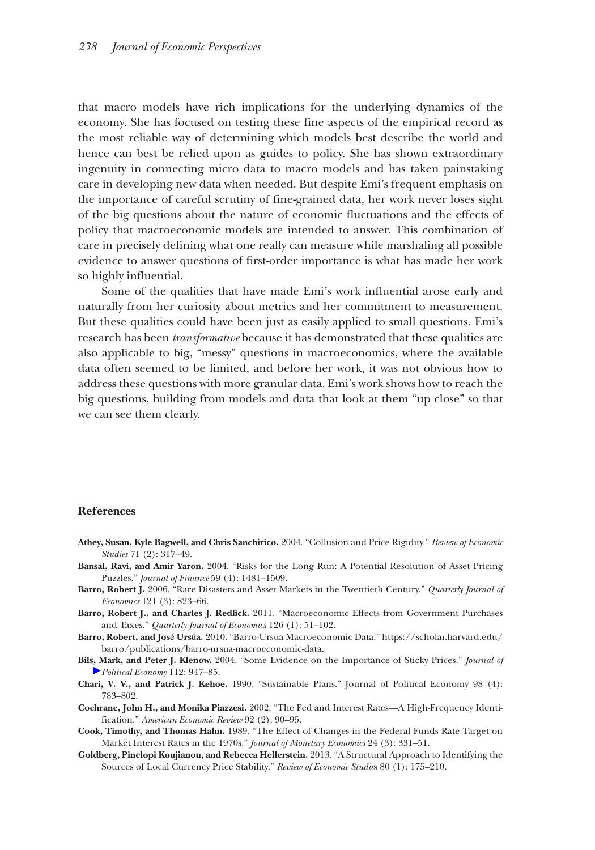that macro models have rich implications for the underlying dynamics of the economy. She has focused on testing these fine aspects of the empirical record as the most reliable way of determining which models best describe the world and hence can best be relied upon as guides to policy. She has shown extraordinary ingenuity in connecting micro data to macro models and has taken painstaking care in developing new data when needed. But despite Emi's frequent emphasis on the importance of careful scrutiny of fine-grained data, her work never loses sight of the big questions about the nature of economic fluctuations and the effects of policy that macroeconomic models are intended to answer. This combination of care in precisely defining what one really can measure while marshaling all possible evidence to answer questions of first-order importance is what has made her work so highly influential.

Some of the qualities that have made Emi's work influential arose early and naturally from her curiosity about metrics and her commitment to measurement. But these qualities could have been just as easily applied to small questions. Emi's research has been *transformative* because it has demonstrated that these qualities are also applicable to big, "messy" questions in macroeconomics, where the available data often seemed to be limited, and before her work, it was not obvious how to address these questions with more granular data. Emi's work shows how to reach the big questions, building from models and data that look at them "up close" so that we can see them clearly.

#### **References**

- **Athey, Susan, Kyle Bagwell, and Chris Sanchirico.** 2004. "Collusion and Price Rigidity." *Review of Economic Studies* 71 (2): 317–49.
- **Bansal, Ravi, and Amir Yaron.** 2004. "Risks for the Long Run: A Potential Resolution of Asset Pricing Puzzles." *Journal of Finance* 59 (4): 1481–1509.
- **Barro, Robert J.** 2006. "Rare Disasters and Asset Markets in the Twentieth Century." *Quarterly Journal of Economics* 121 (3): 823–66.
- **Barro, Robert J., and Charles J. Redlick.** 2011. "Macroeconomic Effects from Government Purchases and Taxes." *Quarterly Journal of Economics* 126 (1): 51–102.
- **Barro, Robert, and Jos**é **Urs**ú**a.** 2010. "Barro-Ursua Macroeconomic Data." [https://scholar.harvard.edu/](https://scholar.harvard.edu/barro/publications/barro-ursua-macroeconomic-data) [barro/publications/barro-ursua-macroeconomic-data.](https://scholar.harvard.edu/barro/publications/barro-ursua-macroeconomic-data)
- **Bils, Mark, and Peter J. Klenow.** 2004. "Some Evidence on the Importance of Sticky Prices." *Journal of Political Economy* 112: 947–85.
- **Chari, V. V., and Patrick J. Kehoe.** 1990. "Sustainable Plans." Journal of Political Economy 98 (4): 783–802.
- **Cochrane, John H., and Monika Piazzesi.** 2002. "The Fed and Interest Rates—A High-Frequency Identification." *American Economic Review* 92 (2): 90–95.
- **Cook, Timothy, and Thomas Hahn.** 1989. "The Effect of Changes in the Federal Funds Rate Target on Market Interest Rates in the 1970s." *Journal of Monetary Economics* 24 (3): 331–51.
- **Goldberg, Pinelopi Koujianou, and Rebecca Hellerstein.** 2013. "A Structural Approach to Identifying the Sources of Local Currency Price Stability." *Review of Economic Studie*s 80 (1): 175–210.